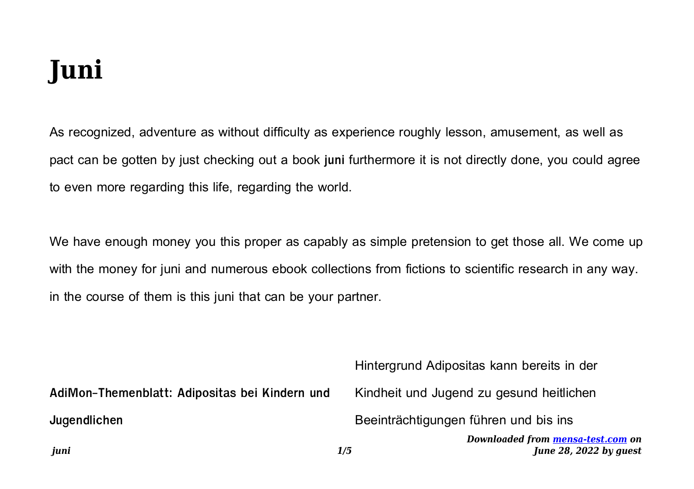## **Juni**

As recognized, adventure as without difficulty as experience roughly lesson, amusement, as well as pact can be gotten by just checking out a book **juni** furthermore it is not directly done, you could agree to even more regarding this life, regarding the world.

We have enough money you this proper as capably as simple pretension to get those all. We come up with the money for juni and numerous ebook collections from fictions to scientific research in any way. in the course of them is this juni that can be your partner.

| juni                                           | Downloaded from mensa-test.com on<br>June 28, 2022 by quest<br>1/5 |
|------------------------------------------------|--------------------------------------------------------------------|
| Jugendlichen                                   | Beeinträchtigungen führen und bis ins                              |
| AdiMon-Themenblatt: Adipositas bei Kindern und | Kindheit und Jugend zu gesund heitlichen                           |
|                                                | Hintergrund Adipositas kann bereits in der                         |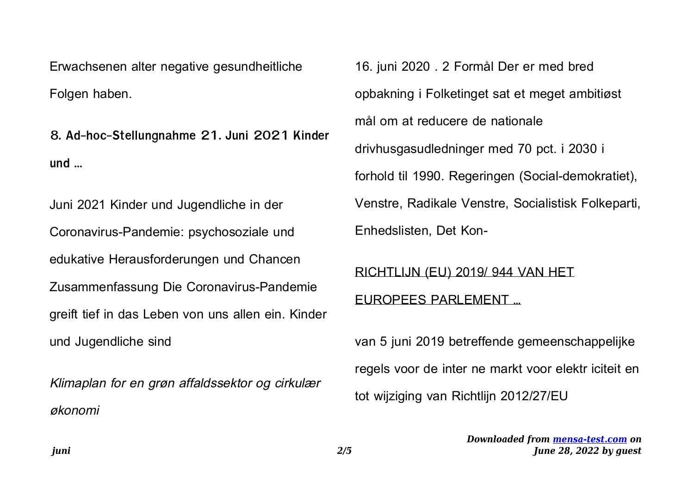Erwachsenen alter negative gesundheitliche Folgen haben.

**8. Ad-hoc-Stellungnahme 21. Juni 2021 Kinder und …**

Juni 2021 Kinder und Jugendliche in der Coronavirus-Pandemie: psychosoziale und edukative Herausforderungen und Chancen Zusammenfassung Die Coronavirus-Pandemie greift tief in das Leben von uns allen ein. Kinder und Jugendliche sind

Klimaplan for en grøn affaldssektor og cirkulær økonomi

16. juni 2020 . 2 Formål Der er med bred opbakning i Folketinget sat et meget ambitiøst mål om at reducere de nationale drivhusgasudledninger med 70 pct. i 2030 i forhold til 1990. Regeringen (Social-demokratiet), Venstre, Radikale Venstre, Socialistisk Folkeparti, Enhedslisten, Det Kon-

## RICHTLIJN (EU) 2019/ 944 VAN HET

## EUROPEES PARLEMENT …

van 5 juni 2019 betreffende gemeenschappelijke regels voor de inter ne markt voor elektr iciteit en tot wijziging van Richtlijn 2012/27/EU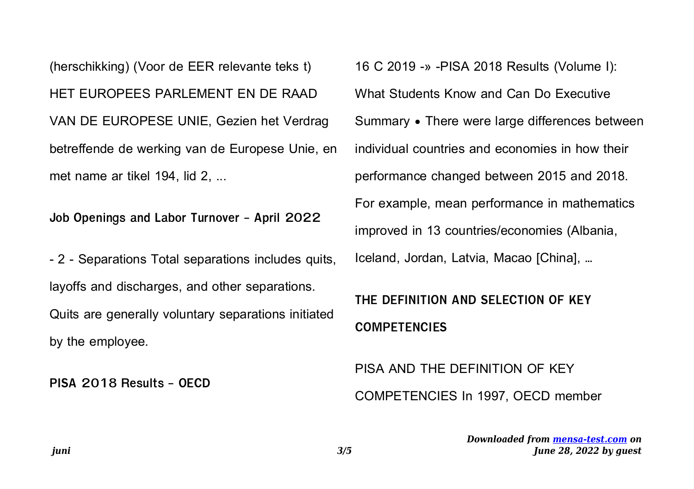(herschikking) (Voor de EER relevante teks t) HET EUROPEES PARLEMENT EN DE RAAD VAN DE EUROPESE UNIE, Gezien het Verdrag betreffende de werking van de Europese Unie, en met name ar tikel 194, lid 2, ...

**Job Openings and Labor Turnover - April 2022**

- 2 - Separations Total separations includes quits, layoffs and discharges, and other separations. Quits are generally voluntary separations initiated by the employee.

**PISA 2018 Results - OECD**

16 C 2019 -» -PISA 2018 Results (Volume I): What Students Know and Can Do Executive Summary • There were large differences between individual countries and economies in how their performance changed between 2015 and 2018. For example, mean performance in mathematics improved in 13 countries/economies (Albania, Iceland, Jordan, Latvia, Macao [China], …

## **THE DEFINITION AND SELECTION OF KEY COMPETENCIES**

PISA AND THE DEFINITION OF KEY COMPETENCIES In 1997, OECD member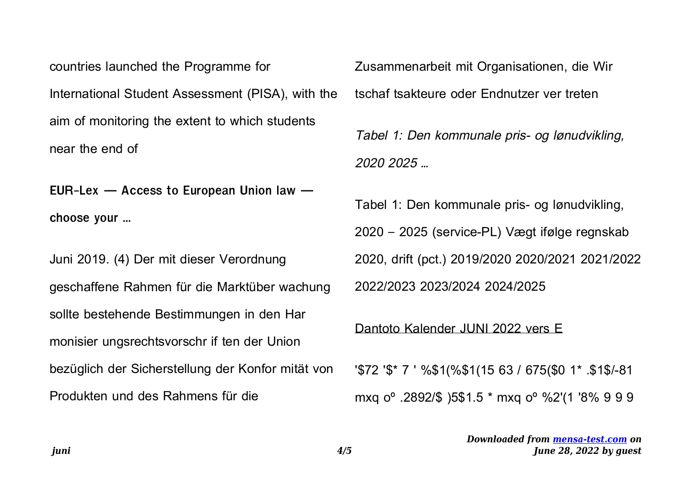countries launched the Programme for International Student Assessment (PISA), with the aim of monitoring the extent to which students near the end of

EUR-Lex  $-$  Access to European Union law  $$ choose your ...

Juni 2019. (4) Der mit dieser Verordnung geschaffene Rahmen für die Marktüber wachung sollte bestehende Bestimmungen in den Har monisier ungsrechtsvorschr if ten der Union bezüglich der Sicherstellung der Konfor mität von Produkten und des Rahmens für die

Zusammenarbeit mit Organisationen, die Wir tschaf tsakteure oder Endnutzer ver treten

Tabel 1: Den kommunale pris- og lønudvikling. 2020 2025 ...

Tabel 1: Den kommunale pris- og lønudvikling, 2020 - 2025 (service-PL) Vægt ifølge regnskab 2020, drift (pct.) 2019/2020 2020/2021 2021/2022 2022/2023 2023/2024 2024/2025

Dantoto Kalender JUNI 2022 vers E

'\$72 '\$\* 7 ' %\$1(%\$1(15 63 / 675(\$0 1\* .\$1\$/-81 mxq o<sup>o</sup> .2892/\$ )5\$1.5 \* mxq o<sup>o</sup> %2'(1 '8% 9 9 9